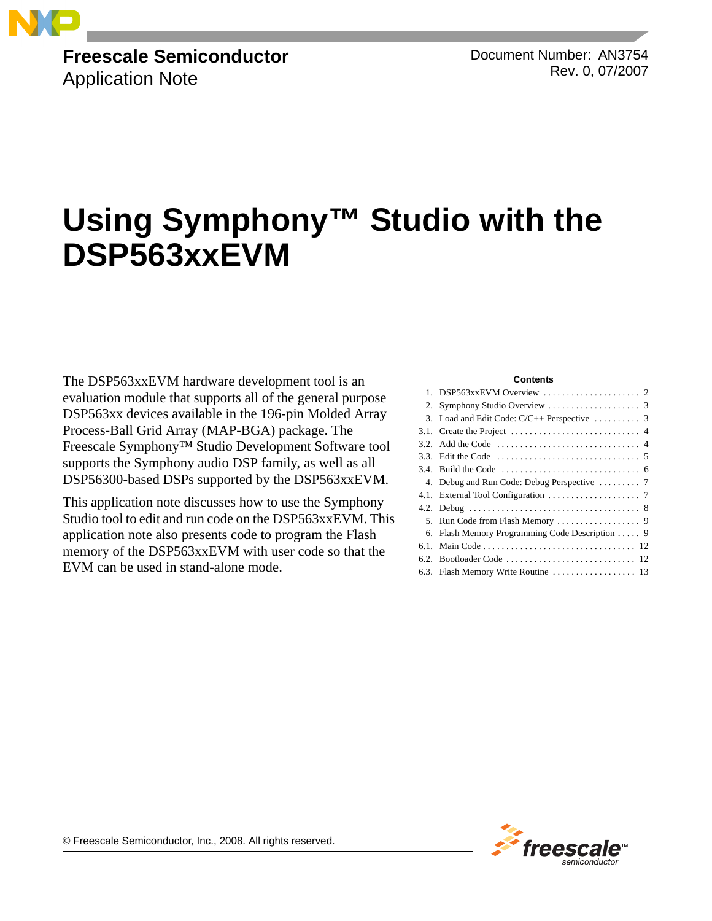

**Freescale Semiconductor** Application Note

Document Number: AN3754 Rev. 0, 07/2007

# **Using Symphony™ Studio with the DSP563xxEVM**

The DSP563xxEVM hardware development tool is an evaluation module that supports all of the general purpose DSP563xx devices available in the 196-pin Molded Array Process-Ball Grid Array (MAP-BGA) package. The Freescale Symphony™ Studio Development Software tool supports the Symphony audio DSP family, as well as all DSP56300-based DSPs supported by the DSP563xxEVM.

This application note discusses how to use the Symphony Studio tool to edit and run code on the DSP563xxEVM. This application note also presents code to program the Flash memory of the DSP563xxEVM with user code so that the EVM can be used in stand-alone mode.

#### **Contents**

| 3. Load and Edit Code: $C/C++$ Perspective  3   |
|-------------------------------------------------|
|                                                 |
|                                                 |
|                                                 |
|                                                 |
|                                                 |
|                                                 |
|                                                 |
|                                                 |
| 6. Flash Memory Programming Code Description  9 |
|                                                 |
|                                                 |
|                                                 |
|                                                 |



© Freescale Semiconductor, Inc., 2008. All rights reserved.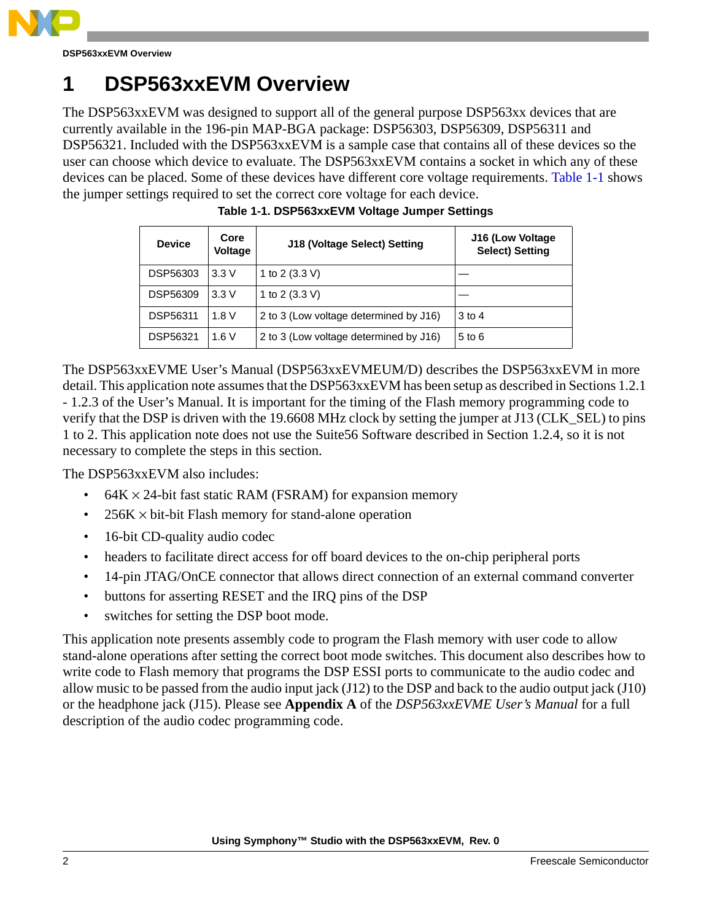

**DSP563xxEVM Overview**

## <span id="page-1-0"></span>**1 DSP563xxEVM Overview**

The DSP563xxEVM was designed to support all of the general purpose DSP563xx devices that are currently available in the 196-pin MAP-BGA package: DSP56303, DSP56309, DSP56311 and DSP56321. Included with the DSP563xxEVM is a sample case that contains all of these devices so the user can choose which device to evaluate. The DSP563xxEVM contains a socket in which any of these devices can be placed. Some of these devices have different core voltage requirements. Table 1-1 shows the jumper settings required to set the correct core voltage for each device.

| <b>Device</b> | Core<br><b>Voltage</b> | J18 (Voltage Select) Setting           | J16 (Low Voltage<br><b>Select) Setting</b> |
|---------------|------------------------|----------------------------------------|--------------------------------------------|
| DSP56303      | 3.3V                   | 1 to 2 $(3.3 V)$                       |                                            |
| DSP56309      | 3.3V                   | 1 to 2 $(3.3 V)$                       |                                            |
| DSP56311      | 1.8V                   | 2 to 3 (Low voltage determined by J16) | $3$ to 4                                   |
| DSP56321      | 1.6V                   | 2 to 3 (Low voltage determined by J16) | $5$ to $6$                                 |

**Table 1-1. DSP563xxEVM Voltage Jumper Settings**

The DSP563xxEVME User's Manual (DSP563xxEVMEUM/D) describes the DSP563xxEVM in more detail. This application note assumes that the DSP563xxEVM has been setup as described in Sections 1.2.1 - 1.2.3 of the User's Manual. It is important for the timing of the Flash memory programming code to verify that the DSP is driven with the 19.6608 MHz clock by setting the jumper at J13 (CLK\_SEL) to pins 1 to 2. This application note does not use the Suite56 Software described in Section 1.2.4, so it is not necessary to complete the steps in this section.

The DSP563xxEVM also includes:

- $64K \times 24$ -bit fast static RAM (FSRAM) for expansion memory
- 256K  $\times$  bit-bit Flash memory for stand-alone operation
- 16-bit CD-quality audio codec
- headers to facilitate direct access for off board devices to the on-chip peripheral ports
- 14-pin JTAG/OnCE connector that allows direct connection of an external command converter
- buttons for asserting RESET and the IRQ pins of the DSP
- switches for setting the DSP boot mode.

This application note presents assembly code to program the Flash memory with user code to allow stand-alone operations after setting the correct boot mode switches. This document also describes how to write code to Flash memory that programs the DSP ESSI ports to communicate to the audio codec and allow music to be passed from the audio input jack (J12) to the DSP and back to the audio output jack (J10) or the headphone jack (J15). Please see **Appendix A** of the *DSP563xxEVME User's Manual* for a full description of the audio codec programming code.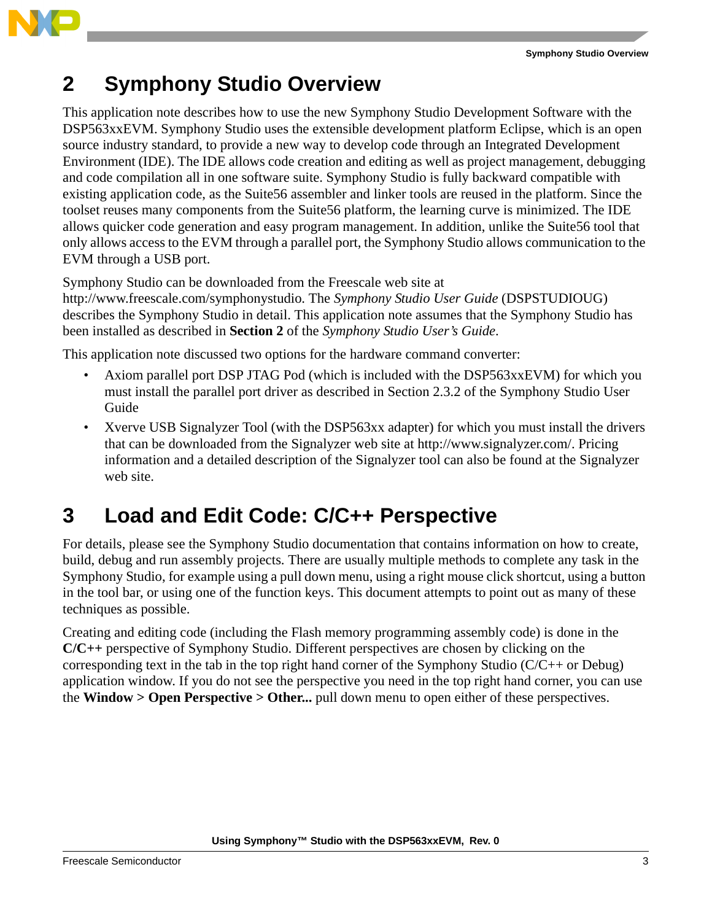

### <span id="page-2-0"></span>**2 Symphony Studio Overview**

This application note describes how to use the new Symphony Studio Development Software with the DSP563xxEVM. Symphony Studio uses the extensible development platform Eclipse, which is an open source industry standard, to provide a new way to develop code through an Integrated Development Environment (IDE). The IDE allows code creation and editing as well as project management, debugging and code compilation all in one software suite. Symphony Studio is fully backward compatible with existing application code, as the Suite56 assembler and linker tools are reused in the platform. Since the toolset reuses many components from the Suite56 platform, the learning curve is minimized. The IDE allows quicker code generation and easy program management. In addition, unlike the Suite56 tool that only allows access to the EVM through a parallel port, the Symphony Studio allows communication to the EVM through a USB port.

Symphony Studio can be downloaded from the Freescale web site at

http://www.freescale.com/symphonystudio. The *Symphony Studio User Guide* (DSPSTUDIOUG) describes the Symphony Studio in detail. This application note assumes that the Symphony Studio has been installed as described in **Section 2** of the *Symphony Studio User's Guide*.

This application note discussed two options for the hardware command converter:

- Axiom parallel port DSP JTAG Pod (which is included with the DSP563xxEVM) for which you must install the parallel port driver as described in Section 2.3.2 of the Symphony Studio User Guide
- Xverve USB Signalyzer Tool (with the DSP563xx adapter) for which you must install the drivers that can be downloaded from the Signalyzer web site at http://www.signalyzer.com/. Pricing information and a detailed description of the Signalyzer tool can also be found at the Signalyzer web site.

### <span id="page-2-1"></span>**3 Load and Edit Code: C/C++ Perspective**

For details, please see the Symphony Studio documentation that contains information on how to create, build, debug and run assembly projects. There are usually multiple methods to complete any task in the Symphony Studio, for example using a pull down menu, using a right mouse click shortcut, using a button in the tool bar, or using one of the function keys. This document attempts to point out as many of these techniques as possible.

Creating and editing code (including the Flash memory programming assembly code) is done in the **C/C++** perspective of Symphony Studio. Different perspectives are chosen by clicking on the corresponding text in the tab in the top right hand corner of the Symphony Studio (C/C++ or Debug) application window. If you do not see the perspective you need in the top right hand corner, you can use the **Window > Open Perspective > Other...** pull down menu to open either of these perspectives.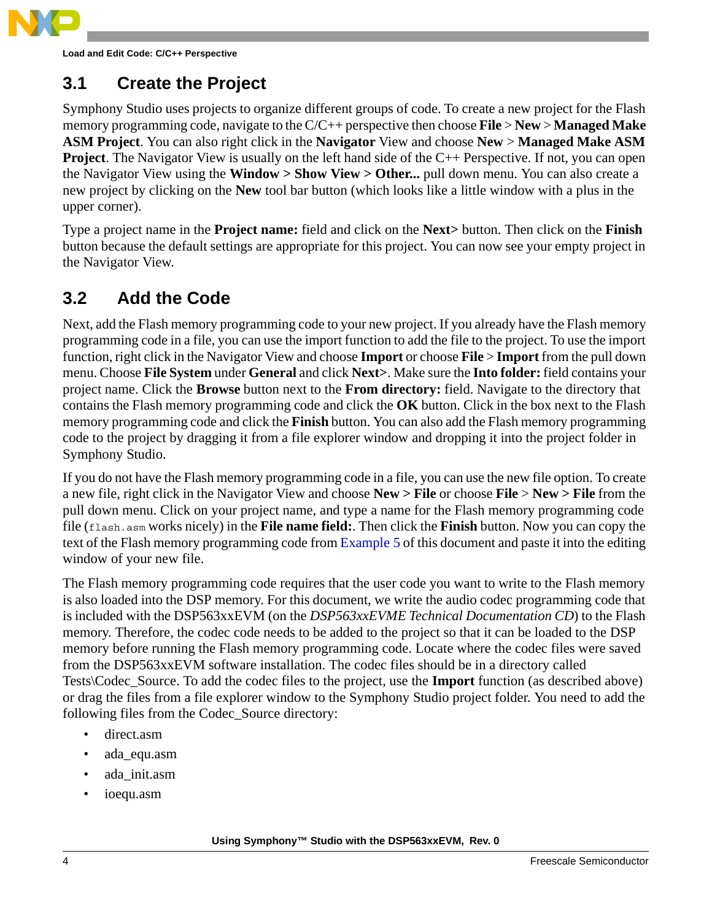

**Load and Edit Code: C/C++ Perspective**

### <span id="page-3-0"></span>**3.1 Create the Project**

Symphony Studio uses projects to organize different groups of code. To create a new project for the Flash memory programming code, navigate to the C/C++ perspective then choose **File** > **New** > **Managed Make ASM Project**. You can also right click in the **Navigator** View and choose **New** > **Managed Make ASM Project**. The Navigator View is usually on the left hand side of the C++ Perspective. If not, you can open the Navigator View using the **Window > Show View > Other...** pull down menu. You can also create a new project by clicking on the **New** tool bar button (which looks like a little window with a plus in the upper corner).

Type a project name in the **Project name:** field and click on the **Next>** button. Then click on the **Finish** button because the default settings are appropriate for this project. You can now see your empty project in the Navigator View.

### <span id="page-3-1"></span>**3.2 Add the Code**

Next, add the Flash memory programming code to your new project. If you already have the Flash memory programming code in a file, you can use the import function to add the file to the project. To use the import function, right click in the Navigator View and choose **Import** or choose **File** > **Import** from the pull down menu. Choose **File System** under **General** and click **Next>**. Make sure the **Into folder:** field contains your project name. Click the **Browse** button next to the **From directory:** field. Navigate to the directory that contains the Flash memory programming code and click the **OK** button. Click in the box next to the Flash memory programming code and click the **Finish** button. You can also add the Flash memory programming code to the project by dragging it from a file explorer window and dropping it into the project folder in Symphony Studio.

If you do not have the Flash memory programming code in a file, you can use the new file option. To create a new file, right click in the Navigator View and choose **New > File** or choose **File** > **New > File** from the pull down menu. Click on your project name, and type a name for the Flash memory programming code file (flash.asm works nicely) in the **File name field:**. Then click the **Finish** button. Now you can copy the text of the Flash memory programming code from Example 5 of this document and paste it into the editing window of your new file.

The Flash memory programming code requires that the user code you want to write to the Flash memory is also loaded into the DSP memory. For this document, we write the audio codec programming code that is included with the DSP563xxEVM (on the *DSP563xxEVME Technical Documentation CD*) to the Flash memory. Therefore, the codec code needs to be added to the project so that it can be loaded to the DSP memory before running the Flash memory programming code. Locate where the codec files were saved from the DSP563xxEVM software installation. The codec files should be in a directory called Tests\Codec\_Source. To add the codec files to the project, use the **Import** function (as described above) or drag the files from a file explorer window to the Symphony Studio project folder. You need to add the following files from the Codec\_Source directory:

- direct.asm
- ada\_equ.asm
- ada\_init.asm
- ioequ.asm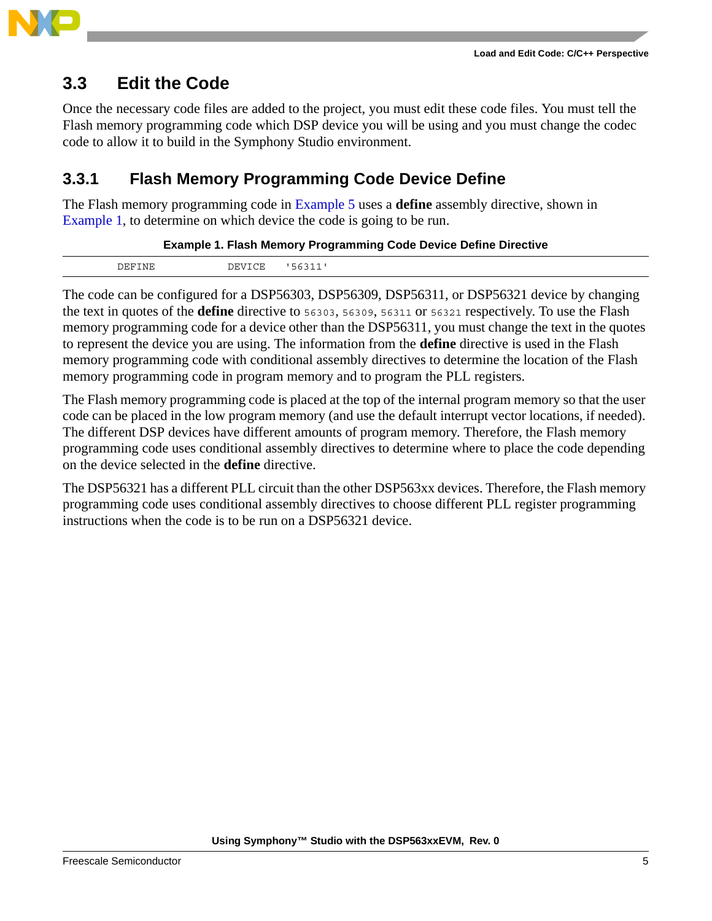

### <span id="page-4-0"></span>**3.3 Edit the Code**

Once the necessary code files are added to the project, you must edit these code files. You must tell the Flash memory programming code which DSP device you will be using and you must change the codec code to allow it to build in the Symphony Studio environment.

#### <span id="page-4-1"></span>**3.3.1 Flash Memory Programming Code Device Define**

The Flash memory programming code in Example 5 uses a **define** assembly directive, shown in Example 1, to determine on which device the code is going to be run.

The code can be configured for a DSP56303, DSP56309, DSP56311, or DSP56321 device by changing the text in quotes of the **define** directive to 56303, 56309, 56311 or 56321 respectively. To use the Flash memory programming code for a device other than the DSP56311, you must change the text in the quotes to represent the device you are using. The information from the **define** directive is used in the Flash memory programming code with conditional assembly directives to determine the location of the Flash memory programming code in program memory and to program the PLL registers.

The Flash memory programming code is placed at the top of the internal program memory so that the user code can be placed in the low program memory (and use the default interrupt vector locations, if needed). The different DSP devices have different amounts of program memory. Therefore, the Flash memory programming code uses conditional assembly directives to determine where to place the code depending on the device selected in the **define** directive.

The DSP56321 has a different PLL circuit than the other DSP563xx devices. Therefore, the Flash memory programming code uses conditional assembly directives to choose different PLL register programming instructions when the code is to be run on a DSP56321 device.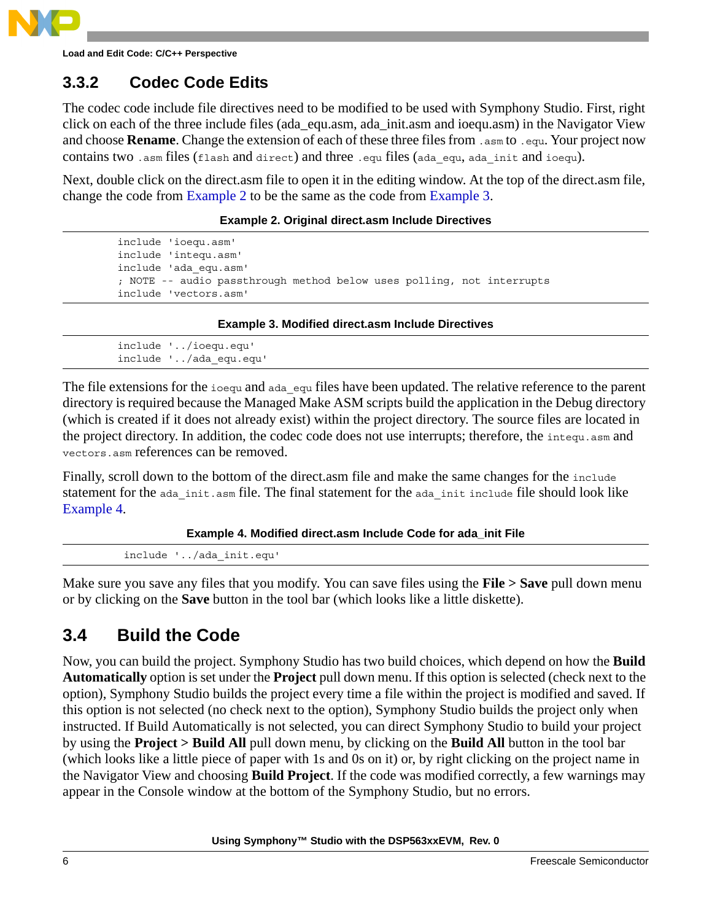

**Load and Edit Code: C/C++ Perspective**

### **3.3.2 Codec Code Edits**

The codec code include file directives need to be modified to be used with Symphony Studio. First, right click on each of the three include files (ada\_equ.asm, ada\_init.asm and ioequ.asm) in the Navigator View and choose **Rename**. Change the extension of each of these three files from .asm to .equ. Your project now contains two .asm files (flash and direct) and three .equ files (ada\_equ, ada\_init and ioequ).

<span id="page-5-1"></span>Next, double click on the direct.asm file to open it in the editing window. At the top of the direct.asm file, change the code from [Example 2](#page-5-1) to be the same as the code from [Example 3](#page-5-2).

#### **Example 2. Original direct.asm Include Directives**

```
include 'ioequ.asm' 
include 'intequ.asm' 
include 'ada_equ.asm' 
; NOTE -- audio passthrough method below uses polling, not interrupts 
include 'vectors.asm'
```
#### **Example 3. Modified direct.asm Include Directives**

<span id="page-5-2"></span>include '../ioequ.equ' include '../ada\_equ.equ'

The file extensions for the ioequ and ada\_equ files have been updated. The relative reference to the parent directory is required because the Managed Make ASM scripts build the application in the Debug directory (which is created if it does not already exist) within the project directory. The source files are located in the project directory. In addition, the codec code does not use interrupts; therefore, the intequ.asm and vectors.asm references can be removed.

Finally, scroll down to the bottom of the direct.asm file and make the same changes for the include statement for the ada\_init.asm file. The final statement for the ada\_init include file should look like [Example 4.](#page-5-3)

#### **Example 4. Modified direct.asm Include Code for ada\_init File**

<span id="page-5-3"></span>include '../ada\_init.equ'

Make sure you save any files that you modify. You can save files using the **File > Save** pull down menu or by clicking on the **Save** button in the tool bar (which looks like a little diskette).

### <span id="page-5-0"></span>**3.4 Build the Code**

Now, you can build the project. Symphony Studio has two build choices, which depend on how the **Build Automatically** option is set under the **Project** pull down menu. If this option is selected (check next to the option), Symphony Studio builds the project every time a file within the project is modified and saved. If this option is not selected (no check next to the option), Symphony Studio builds the project only when instructed. If Build Automatically is not selected, you can direct Symphony Studio to build your project by using the **Project > Build All** pull down menu, by clicking on the **Build All** button in the tool bar (which looks like a little piece of paper with 1s and 0s on it) or, by right clicking on the project name in the Navigator View and choosing **Build Project**. If the code was modified correctly, a few warnings may appear in the Console window at the bottom of the Symphony Studio, but no errors.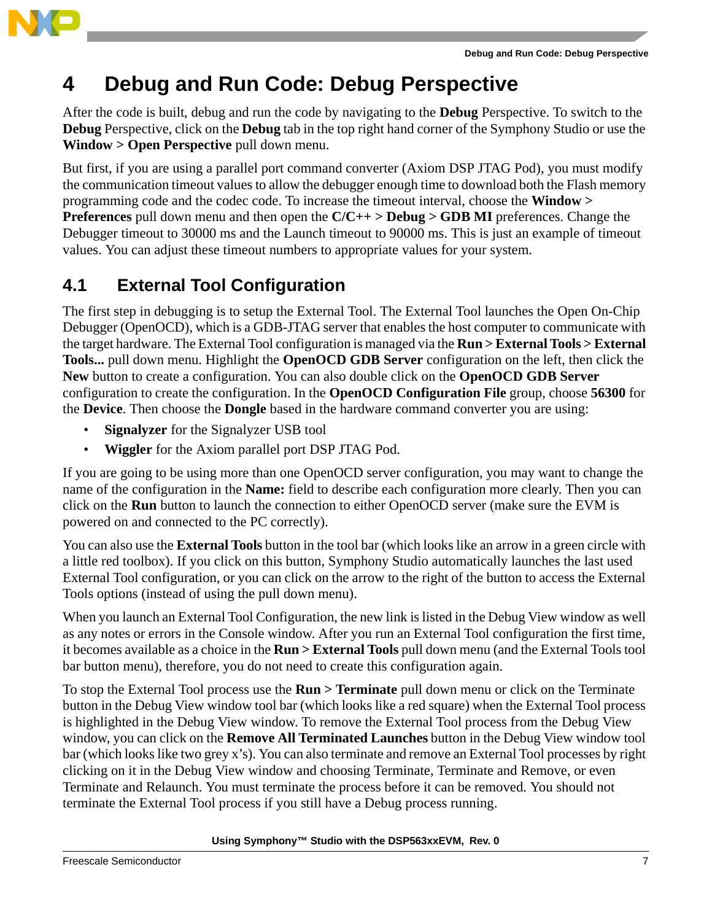

### <span id="page-6-0"></span>**4 Debug and Run Code: Debug Perspective**

After the code is built, debug and run the code by navigating to the **Debug** Perspective. To switch to the **Debug** Perspective, click on the **Debug** tab in the top right hand corner of the Symphony Studio or use the **Window > Open Perspective** pull down menu.

But first, if you are using a parallel port command converter (Axiom DSP JTAG Pod), you must modify the communication timeout values to allow the debugger enough time to download both the Flash memory programming code and the codec code. To increase the timeout interval, choose the **Window > Preferences** pull down menu and then open the **C/C++ > Debug > GDB MI** preferences. Change the Debugger timeout to 30000 ms and the Launch timeout to 90000 ms. This is just an example of timeout values. You can adjust these timeout numbers to appropriate values for your system.

### <span id="page-6-1"></span>**4.1 External Tool Configuration**

The first step in debugging is to setup the External Tool. The External Tool launches the Open On-Chip Debugger (OpenOCD), which is a GDB-JTAG server that enables the host computer to communicate with the target hardware. The External Tool configuration is managed via the **Run > External Tools > External Tools...** pull down menu. Highlight the **OpenOCD GDB Server** configuration on the left, then click the **New** button to create a configuration. You can also double click on the **OpenOCD GDB Server** configuration to create the configuration. In the **OpenOCD Configuration File** group, choose **56300** for the **Device**. Then choose the **Dongle** based in the hardware command converter you are using:

- **Signalyzer** for the Signalyzer USB tool
- **Wiggler** for the Axiom parallel port DSP JTAG Pod.

If you are going to be using more than one OpenOCD server configuration, you may want to change the name of the configuration in the **Name:** field to describe each configuration more clearly. Then you can click on the **Run** button to launch the connection to either OpenOCD server (make sure the EVM is powered on and connected to the PC correctly).

You can also use the **External Tools** button in the tool bar (which looks like an arrow in a green circle with a little red toolbox). If you click on this button, Symphony Studio automatically launches the last used External Tool configuration, or you can click on the arrow to the right of the button to access the External Tools options (instead of using the pull down menu).

When you launch an External Tool Configuration, the new link is listed in the Debug View window as well as any notes or errors in the Console window. After you run an External Tool configuration the first time, it becomes available as a choice in the **Run > External Tools** pull down menu (and the External Tools tool bar button menu), therefore, you do not need to create this configuration again.

To stop the External Tool process use the **Run > Terminate** pull down menu or click on the Terminate button in the Debug View window tool bar (which looks like a red square) when the External Tool process is highlighted in the Debug View window. To remove the External Tool process from the Debug View window, you can click on the **Remove All Terminated Launches** button in the Debug View window tool bar (which looks like two grey x's). You can also terminate and remove an External Tool processes by right clicking on it in the Debug View window and choosing Terminate, Terminate and Remove, or even Terminate and Relaunch. You must terminate the process before it can be removed. You should not terminate the External Tool process if you still have a Debug process running.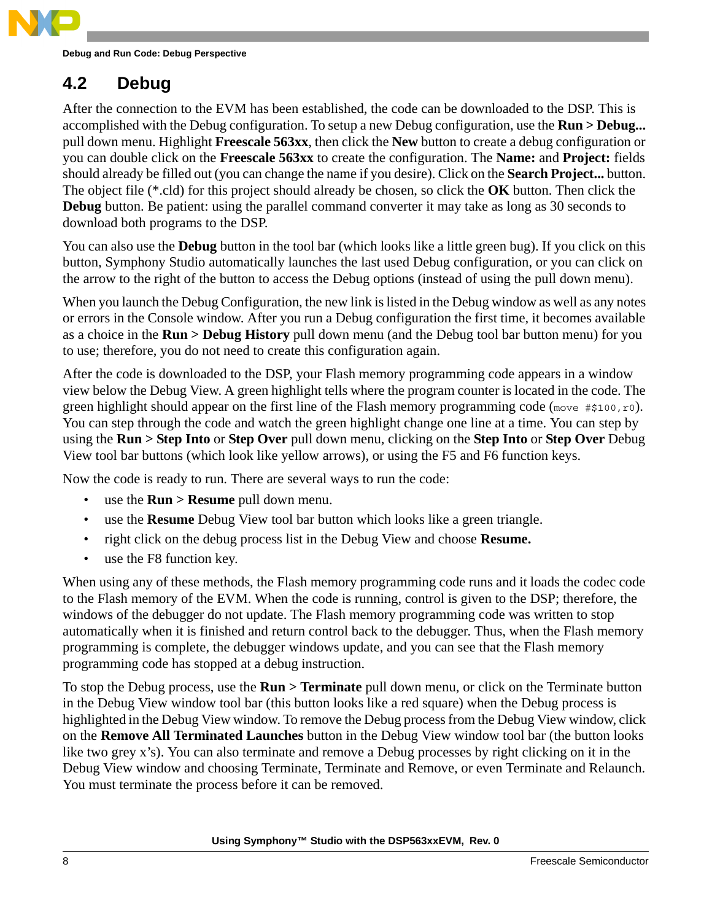

### <span id="page-7-0"></span>**4.2 Debug**

After the connection to the EVM has been established, the code can be downloaded to the DSP. This is accomplished with the Debug configuration. To setup a new Debug configuration, use the **Run > Debug...** pull down menu. Highlight **Freescale 563xx**, then click the **New** button to create a debug configuration or you can double click on the **Freescale 563xx** to create the configuration. The **Name:** and **Project:** fields should already be filled out (you can change the name if you desire). Click on the **Search Project...** button. The object file (\*.cld) for this project should already be chosen, so click the **OK** button. Then click the **Debug** button. Be patient: using the parallel command converter it may take as long as 30 seconds to download both programs to the DSP.

You can also use the **Debug** button in the tool bar (which looks like a little green bug). If you click on this button, Symphony Studio automatically launches the last used Debug configuration, or you can click on the arrow to the right of the button to access the Debug options (instead of using the pull down menu).

When you launch the Debug Configuration, the new link is listed in the Debug window as well as any notes or errors in the Console window. After you run a Debug configuration the first time, it becomes available as a choice in the **Run > Debug History** pull down menu (and the Debug tool bar button menu) for you to use; therefore, you do not need to create this configuration again.

After the code is downloaded to the DSP, your Flash memory programming code appears in a window view below the Debug View. A green highlight tells where the program counter is located in the code. The green highlight should appear on the first line of the Flash memory programming code (move #\$100,r0). You can step through the code and watch the green highlight change one line at a time. You can step by using the **Run > Step Into** or **Step Over** pull down menu, clicking on the **Step Into** or **Step Over** Debug View tool bar buttons (which look like yellow arrows), or using the F5 and F6 function keys.

Now the code is ready to run. There are several ways to run the code:

- use the **Run > Resume** pull down menu.
- use the **Resume** Debug View tool bar button which looks like a green triangle.
- right click on the debug process list in the Debug View and choose **Resume.**
- use the F8 function key.

When using any of these methods, the Flash memory programming code runs and it loads the codec code to the Flash memory of the EVM. When the code is running, control is given to the DSP; therefore, the windows of the debugger do not update. The Flash memory programming code was written to stop automatically when it is finished and return control back to the debugger. Thus, when the Flash memory programming is complete, the debugger windows update, and you can see that the Flash memory programming code has stopped at a debug instruction.

To stop the Debug process, use the **Run > Terminate** pull down menu, or click on the Terminate button in the Debug View window tool bar (this button looks like a red square) when the Debug process is highlighted in the Debug View window. To remove the Debug process from the Debug View window, click on the **Remove All Terminated Launches** button in the Debug View window tool bar (the button looks like two grey x's). You can also terminate and remove a Debug processes by right clicking on it in the Debug View window and choosing Terminate, Terminate and Remove, or even Terminate and Relaunch. You must terminate the process before it can be removed.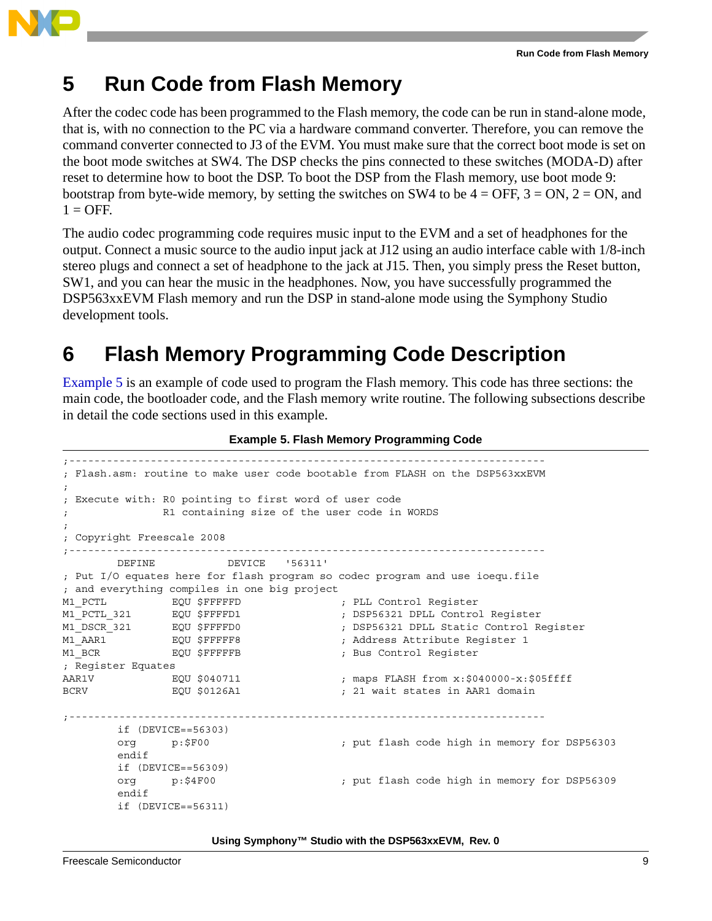

### <span id="page-8-0"></span>**5 Run Code from Flash Memory**

After the codec code has been programmed to the Flash memory, the code can be run in stand-alone mode, that is, with no connection to the PC via a hardware command converter. Therefore, you can remove the command converter connected to J3 of the EVM. You must make sure that the correct boot mode is set on the boot mode switches at SW4. The DSP checks the pins connected to these switches (MODA-D) after reset to determine how to boot the DSP. To boot the DSP from the Flash memory, use boot mode 9: bootstrap from byte-wide memory, by setting the switches on SW4 to be  $4 =$  OFF,  $3 = ON$ ,  $2 = ON$ , and  $1 =$  OFF.

The audio codec programming code requires music input to the EVM and a set of headphones for the output. Connect a music source to the audio input jack at J12 using an audio interface cable with 1/8-inch stereo plugs and connect a set of headphone to the jack at J15. Then, you simply press the Reset button, SW1, and you can hear the music in the headphones. Now, you have successfully programmed the DSP563xxEVM Flash memory and run the DSP in stand-alone mode using the Symphony Studio development tools.

### <span id="page-8-1"></span>**6 Flash Memory Programming Code Description**

Example 5 is an example of code used to program the Flash memory. This code has three sections: the main code, the bootloader code, and the Flash memory write routine. The following subsections describe in detail the code sections used in this example.

#### **Example 5. Flash Memory Programming Code**

```
;----------------------------------------------------------------------------
 Flash.asm: routine to make user code bootable from FLASH on the DSP563xxEVM
;
; Execute with: R0 pointing to first word of user code
; R1 containing size of the user code in WORDS
;
; Copyright Freescale 2008
;----------------------------------------------------------------------------
       DEFINE DEVICE '56311'
; Put I/O equates here for flash program so codec program and use ioequ.file 
; and everything compiles in one big project
M1_PCTL               EQU $FFFFFD               ; PLL Control Register
M1_PCTL_321 EQU $FFFFD1 ; DSP56321 DPLL Control Register
M1_DSCR_321 EQU $FFFFD0 ; DSP56321 DPLL Static Control Register
              EQU $FFFFF8 ; Address Attribute Register 1
M1 BCR                 EQU $FFFFFB                   ; Bus Control Register
; Register Equates
AAR1V EQU $040711 : imaps FLASH from x:$040000-x:$05ffff
BCRV BOOT & BOOT $0126A1 (21 wait states in AAR1 domain
;----------------------------------------------------------------------------
       if (DEVICE==56303)
       org p:$F00 ; put flash code high in memory for DSP56303
       endif
       if (DEVICE==56309)
       org p:$4F00 ; put flash code high in memory for DSP56309
       endif
       if (DEVICE==56311)
```
**Using Symphony™ Studio with the DSP563xxEVM, Rev. 0**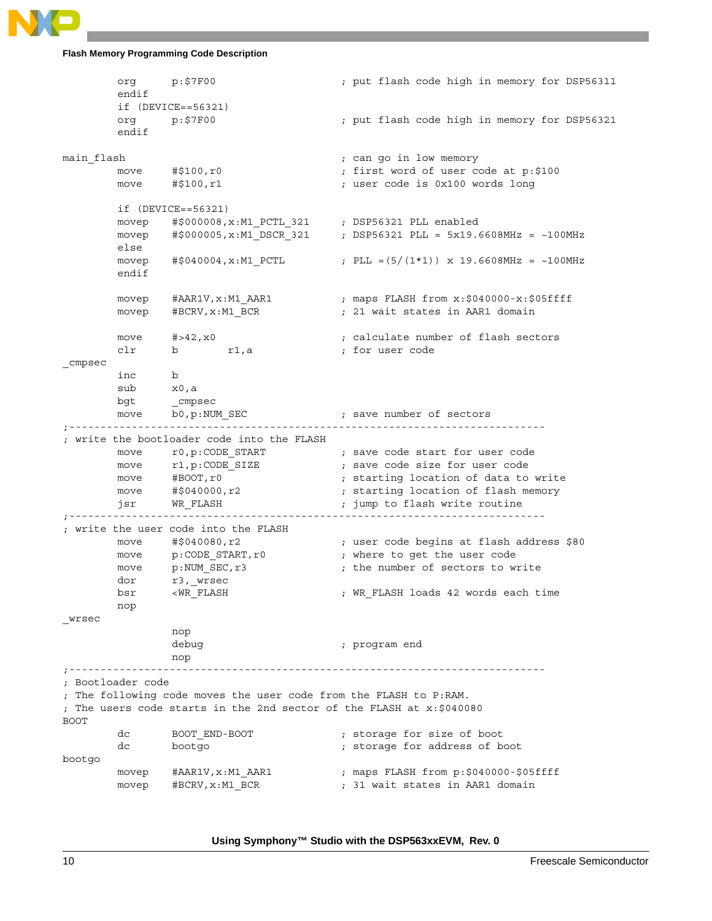#### **Flash Memory Programming Code Description**

org p:\$7F00 ; put flash code high in memory for DSP56311 endif if (DEVICE==56321) org p:\$7F00 ; put flash code high in memory for DSP56321 endif main flash  $\qquad \qquad ;$  can go in low memory move #\$100, r0 (a) ; first word of user code at p:\$100 move #\$100, r1 ; user code is 0x100 words long if (DEVICE==56321) movep #\$000008,x:M1\_PCTL\_321 ; DSP56321 PLL enabled movep #\$000005,x:M1 DSCR 321 ; DSP56321 PLL = 5x19.6608MHz = ~100MHz else movep  $\#$ \$040004,x:M1 PCTL ; PLL =(5/(1\*1)) x 19.6608MHz = ~100MHz endif movep #AAR1V,x:M1\_AAR1 ; maps FLASH from x:\$040000-x:\$05ffff movep #BCRV, x: M1 BCR ; 21 wait states in AAR1 domain move  $\# > 42$ , x0 ; calculate number of flash sectors clr b r1,a ; for user code \_cmpsec inc b sub x0,a bgt \_\_ cmpsec move b0, p:NUM\_SEC ; save number of sectors ;---------------------------------------------------------------------------- ; write the bootloader code into the FLASH move r0, p: CODE\_START ; save code start for user code move r1, p:CODE SIZE ; save code size for user code move #BOOT, r0 (a) istarting location of data to write move #\$040000, r2 ; starting location of flash memory jsr WR\_FLASH  $\qquad$  ; jump to flash write routine ;---------------------------------------------------------------------------- ; write the user code into the FLASH move #\$040080, r2 ; user code begins at flash address \$80<br>move p:CODE\_START, r0 ; where to get the user code<br>move p:NTIM CEC r3 ; the number of sectors to write move p:CODE\_START, r0 ; where to get the user code move p:NUM\_SEC,r3 ; the number of sectors to write dor r3, wrsec bsr <WR\_FLASH ; WR\_FLASH loads 42 words each time nop \_wrsec nop debug ; program end nop ;---------------------------------------------------------------------------- ; Bootloader code ; The following code moves the user code from the FLASH to P:RAM. ; The users code starts in the 2nd sector of the FLASH at x:\$040080 BOOT dc BOOT END-BOOT ; storage for size of boot dc bootgo  $;$  storage for address of boot bootgo movep #AAR1V,x:M1\_AAR1 ; maps FLASH from p:\$040000-\$05ffff movep #BCRV, x: M1\_BCR  $\qquad$  ; 31 wait states in AAR1 domain

**Using Symphony™ Studio with the DSP563xxEVM, Rev. 0**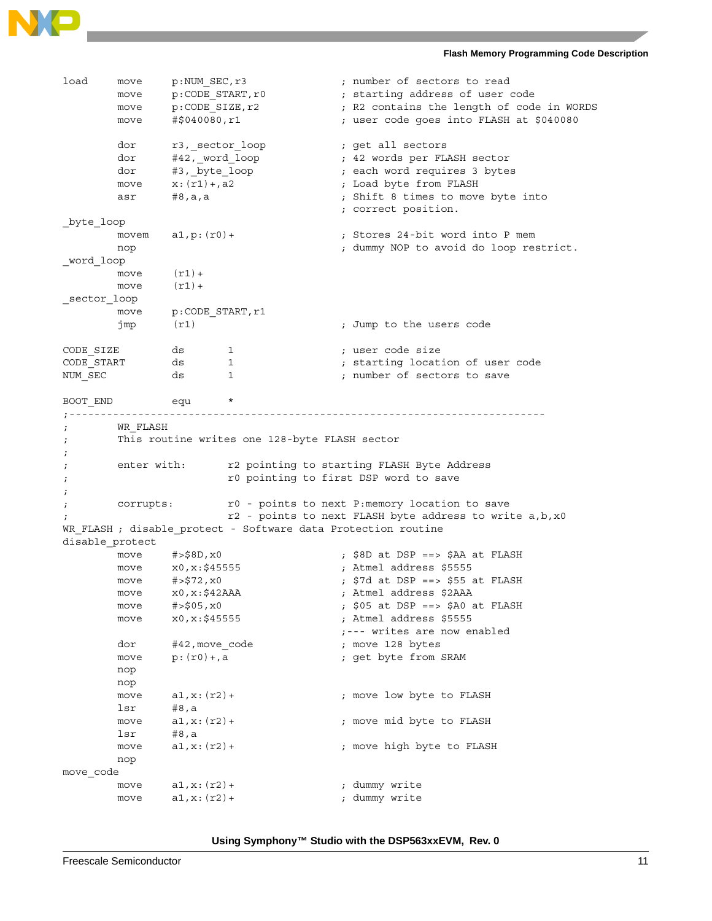

**Flash Memory Programming Code Description**

| load<br>p:NUM SEC, r3<br>move<br>move<br>move p:CODE SIZE, r2<br>#\$040080,r1<br>move |                                  | p:CODE START,r0                                                                |                                               | ; number of sectors to read<br>; starting address of user code<br>; R2 contains the length of code in WORDS<br>; user code goes into FLASH at \$040080 |                                                                                                                                                                        |
|---------------------------------------------------------------------------------------|----------------------------------|--------------------------------------------------------------------------------|-----------------------------------------------|--------------------------------------------------------------------------------------------------------------------------------------------------------|------------------------------------------------------------------------------------------------------------------------------------------------------------------------|
|                                                                                       | dor<br>dor<br>dor<br>move<br>asr | r3, sector loop<br>#42,_word_loop<br>#3, byte_loop<br>$x: (r1) + a2$<br>#8,a,a |                                               |                                                                                                                                                        | ; get all sectors<br>; 42 words per FLASH sector<br>; each word requires 3 bytes<br>; Load byte from FLASH<br>; Shift 8 times to move byte into<br>; correct position. |
| byte loop                                                                             |                                  |                                                                                |                                               |                                                                                                                                                        |                                                                                                                                                                        |
| a1,p:(r0)+<br>movem<br>nop<br>word loop                                               |                                  |                                                                                |                                               | ; Stores 24-bit word into P mem<br>; dummy NOP to avoid do loop restrict.                                                                              |                                                                                                                                                                        |
|                                                                                       | move<br>move                     | $(r1) +$<br>$(r1) +$                                                           |                                               |                                                                                                                                                        |                                                                                                                                                                        |
| sector_loop                                                                           |                                  |                                                                                |                                               |                                                                                                                                                        |                                                                                                                                                                        |
|                                                                                       | move<br>jmp                      | (r1)                                                                           | p:CODE START, r1                              |                                                                                                                                                        | ; Jump to the users code                                                                                                                                               |
| CODE SIZE<br>CODE_START<br>NUM SEC                                                    |                                  | ds<br>ds<br>ds                                                                 | $\mathbf{1}$<br>$\mathbf{1}$<br>1             |                                                                                                                                                        | ; user code size<br>; starting location of user code<br>; number of sectors to save                                                                                    |
| BOOT END                                                                              |                                  | equ                                                                            | $\star$                                       |                                                                                                                                                        |                                                                                                                                                                        |
|                                                                                       | - - - - - - -<br>WR FLASH        |                                                                                | This routine writes one 128-byte FLASH sector | ----------------------                                                                                                                                 |                                                                                                                                                                        |
| $\ddot{ }$<br>$\cdot$<br>$\cdot$                                                      | enter with:                      |                                                                                |                                               |                                                                                                                                                        | r2 pointing to starting FLASH Byte Address<br>r0 pointing to first DSP word to save                                                                                    |
| $\cdot$<br>$\cdot$                                                                    | corrupts:                        |                                                                                |                                               |                                                                                                                                                        | r0 - points to next P:memory location to save<br>r2 - points to next FLASH byte address to write a, b, x0                                                              |
|                                                                                       |                                  |                                                                                |                                               |                                                                                                                                                        | WR_FLASH ; disable_protect - Software data Protection routine                                                                                                          |
| disable_protect                                                                       | move                             | $#$ >\$8D, $x0$                                                                |                                               |                                                                                                                                                        | ; \$8D at DSP ==> \$AA at FLASH                                                                                                                                        |
|                                                                                       | x0, x: \$45555<br>move           |                                                                                |                                               |                                                                                                                                                        | ; Atmel address \$5555                                                                                                                                                 |
|                                                                                       | #>\$72,x0<br>move                |                                                                                |                                               | ; \$7d at DSP ==> \$55 at FLASH                                                                                                                        |                                                                                                                                                                        |
|                                                                                       | move                             | x0, x: \$42AAA                                                                 |                                               |                                                                                                                                                        | ; Atmel address \$2AAA                                                                                                                                                 |
|                                                                                       | move                             | # > \$05, x0                                                                   |                                               |                                                                                                                                                        | ; \$05 at DSP ==> \$A0 at FLASH                                                                                                                                        |
|                                                                                       | move                             | x0, x: \$45555                                                                 |                                               |                                                                                                                                                        | ; Atmel address \$5555<br>;--- writes are now enabled                                                                                                                  |
|                                                                                       | dor                              | #42, move_code                                                                 |                                               |                                                                                                                                                        | ; move 128 bytes                                                                                                                                                       |
|                                                                                       | move<br>nop<br>nop               | $p: (r0) +$ , a                                                                |                                               |                                                                                                                                                        | ; get byte from SRAM                                                                                                                                                   |
|                                                                                       | move<br>lsr                      | a1,x:(r2)+<br>#8,a<br>$a1, x: (r2) +$                                          |                                               |                                                                                                                                                        | ; move low byte to FLASH                                                                                                                                               |
|                                                                                       | move                             |                                                                                |                                               |                                                                                                                                                        | ; move mid byte to FLASH                                                                                                                                               |
|                                                                                       | lsr<br>move<br>nop               | #8,a<br>$a1, x: (r2) +$                                                        |                                               |                                                                                                                                                        | ; move high byte to FLASH                                                                                                                                              |
| move code                                                                             |                                  |                                                                                |                                               |                                                                                                                                                        |                                                                                                                                                                        |
|                                                                                       | move                             | $a1, x: (r2) +$                                                                |                                               |                                                                                                                                                        | ; dummy write                                                                                                                                                          |
|                                                                                       | move                             | $a1, x: (r2) +$                                                                |                                               |                                                                                                                                                        | ; dummy write                                                                                                                                                          |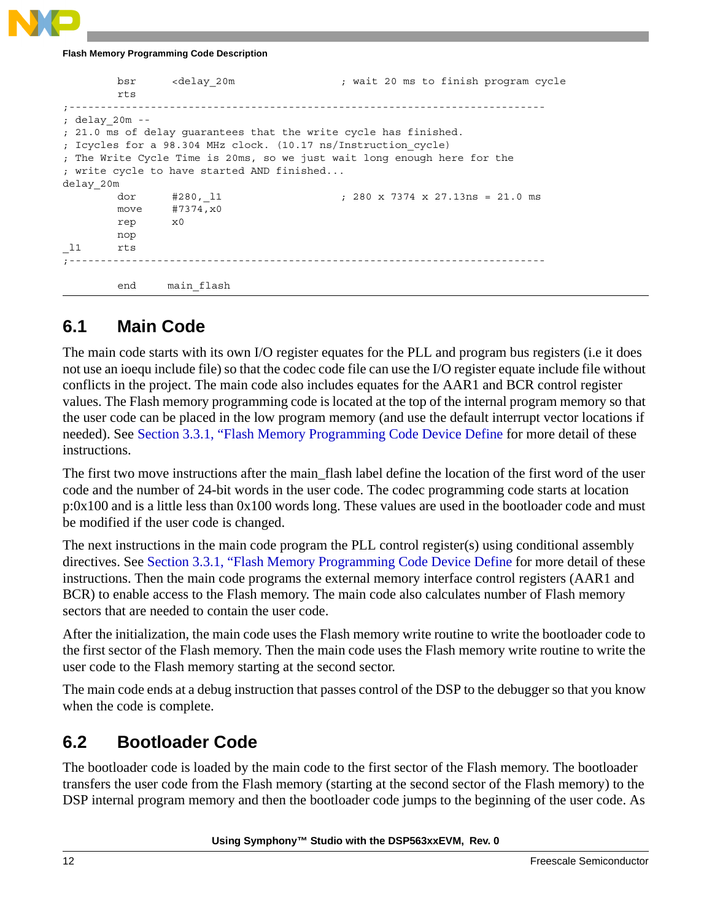#### **Flash Memory Programming Code Description**

```
bsr <delay 20m ; wait 20 ms to finish program cycle
        rts
: - - - - - - - - - - - -; delay_20m -- 
; 21.0 ms of delay guarantees that the write cycle has finished.
; Icycles for a 98.304 MHz clock. (10.17 ns/Instruction cycle)
; The Write Cycle Time is 20ms, so we just wait long enough here for the
; write cycle to have started AND finished...
delay_20m
        dor #280,_11 ; 280 x 7374 x 27.13ns = 21.0 ms
        move #7374,x0
        rep x0 
        nop
_l1 rts 
                            ;----------------------------------------------------------------------------
        end main_flash
```
### <span id="page-11-0"></span>**6.1 Main Code**

The main code starts with its own I/O register equates for the PLL and program bus registers (i.e it does not use an ioequ include file) so that the codec code file can use the I/O register equate include file without conflicts in the project. The main code also includes equates for the AAR1 and BCR control register values. The Flash memory programming code is located at the top of the internal program memory so that the user code can be placed in the low program memory (and use the default interrupt vector locations if needed). See [Section 3.3.1, "Flash Memory Programming Code Device Define](#page-4-1) for more detail of these instructions.

The first two move instructions after the main flash label define the location of the first word of the user code and the number of 24-bit words in the user code. The codec programming code starts at location p:0x100 and is a little less than 0x100 words long. These values are used in the bootloader code and must be modified if the user code is changed.

The next instructions in the main code program the PLL control register(s) using conditional assembly directives. See [Section 3.3.1, "Flash Memory Programming Code Device Define](#page-4-1) for more detail of these instructions. Then the main code programs the external memory interface control registers (AAR1 and BCR) to enable access to the Flash memory. The main code also calculates number of Flash memory sectors that are needed to contain the user code.

After the initialization, the main code uses the Flash memory write routine to write the bootloader code to the first sector of the Flash memory. Then the main code uses the Flash memory write routine to write the user code to the Flash memory starting at the second sector.

The main code ends at a debug instruction that passes control of the DSP to the debugger so that you know when the code is complete.

#### <span id="page-11-1"></span>**6.2 Bootloader Code**

The bootloader code is loaded by the main code to the first sector of the Flash memory. The bootloader transfers the user code from the Flash memory (starting at the second sector of the Flash memory) to the DSP internal program memory and then the bootloader code jumps to the beginning of the user code. As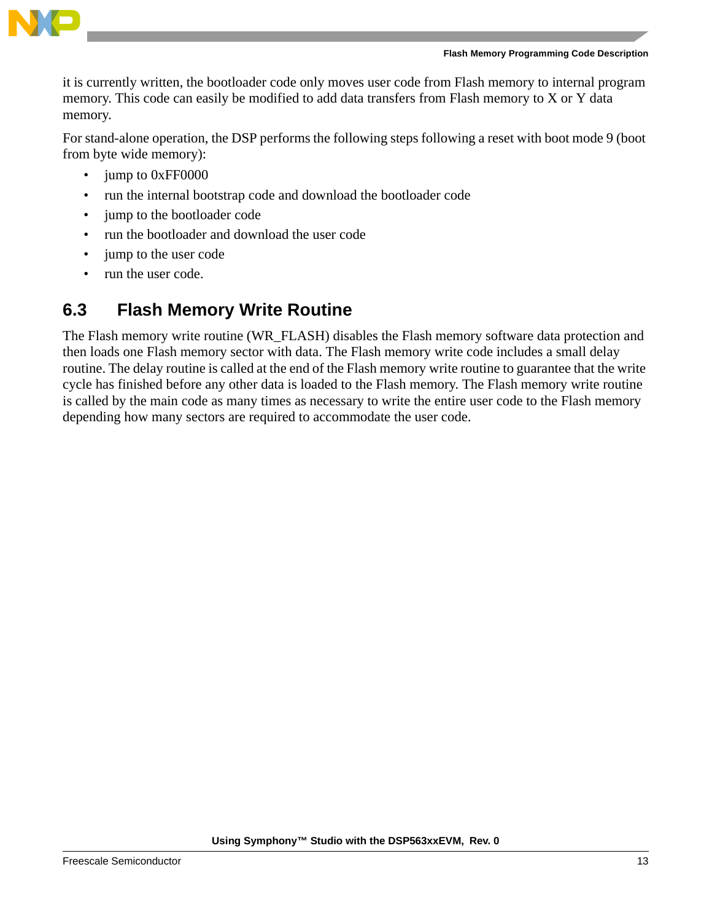

it is currently written, the bootloader code only moves user code from Flash memory to internal program memory. This code can easily be modified to add data transfers from Flash memory to X or Y data memory.

For stand-alone operation, the DSP performs the following steps following a reset with boot mode 9 (boot from byte wide memory):

- jump to 0xFF0000
- run the internal bootstrap code and download the bootloader code
- jump to the bootloader code
- run the bootloader and download the user code
- jump to the user code
- run the user code.

#### <span id="page-12-0"></span>**6.3 Flash Memory Write Routine**

The Flash memory write routine (WR\_FLASH) disables the Flash memory software data protection and then loads one Flash memory sector with data. The Flash memory write code includes a small delay routine. The delay routine is called at the end of the Flash memory write routine to guarantee that the write cycle has finished before any other data is loaded to the Flash memory. The Flash memory write routine is called by the main code as many times as necessary to write the entire user code to the Flash memory depending how many sectors are required to accommodate the user code.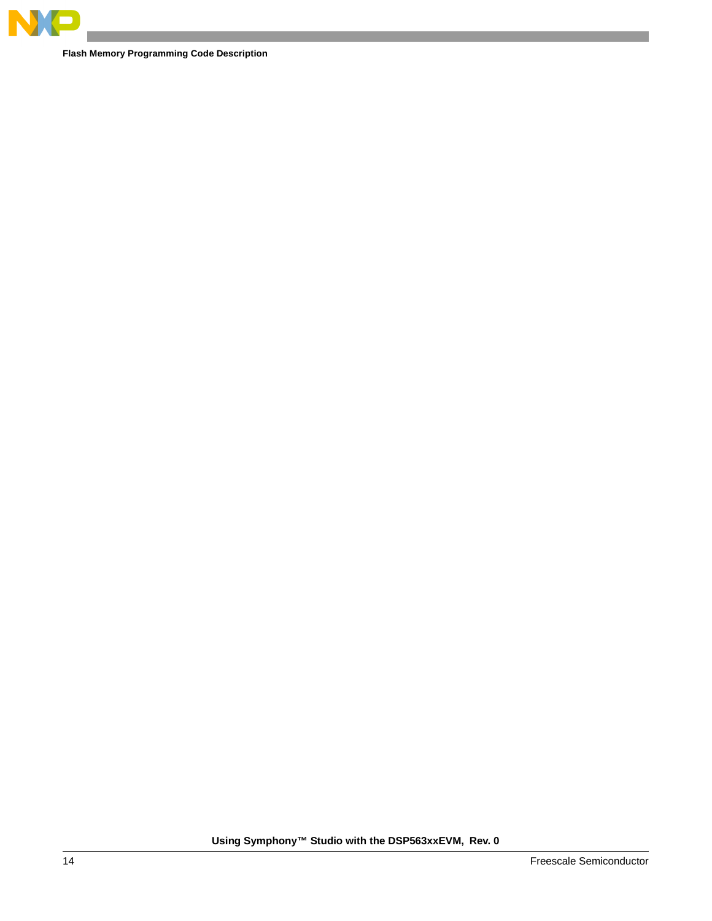

**Flash Memory Programming Code Description**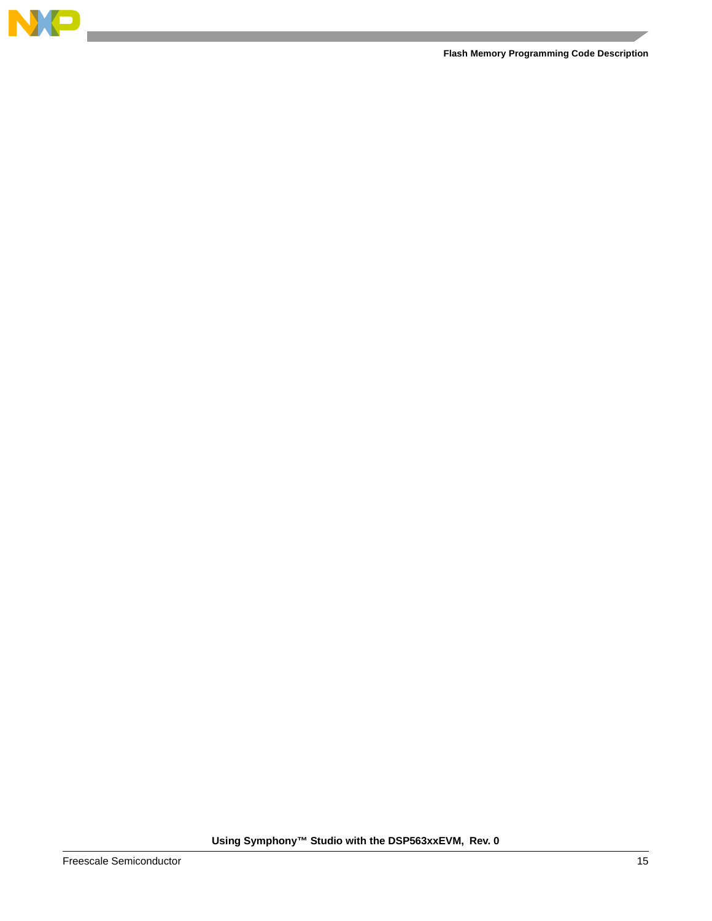

 $\overline{\phantom{a}}$ 

**Flash Memory Programming Code Description**